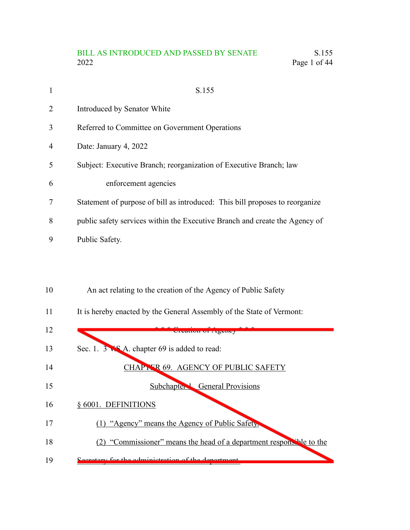# BILL AS INTRODUCED AND PASSED BY SENATE S.155 2022 Page 1 of 44

| 1              | S.155                                                                        |
|----------------|------------------------------------------------------------------------------|
| $\overline{2}$ | Introduced by Senator White                                                  |
| 3              | Referred to Committee on Government Operations                               |
| 4              | Date: January 4, 2022                                                        |
| .5             | Subject: Executive Branch; reorganization of Executive Branch; law           |
| 6              | enforcement agencies                                                         |
| 7              | Statement of purpose of bill as introduced: This bill proposes to reorganize |
| 8              | public safety services within the Executive Branch and create the Agency of  |
| 9              | Public Safety.                                                               |

- An act relating to the creation of the Agency of Public Safety 10
- It is hereby enacted by the General Assembly of the State of Vermont: 11

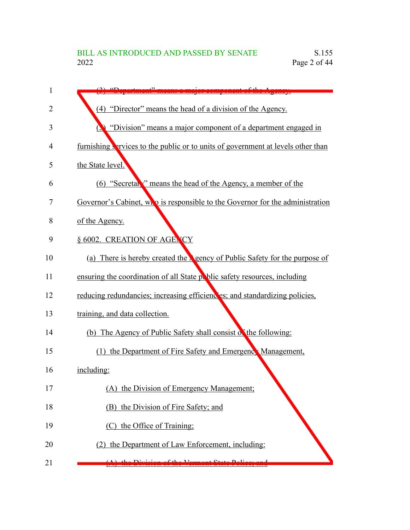| 1  |                                                                                    |
|----|------------------------------------------------------------------------------------|
| 2  | (4) "Director" means the head of a division of the Agency.                         |
| 3  | "Division" means a major component of a department engaged in<br>N                 |
| 4  | furnishing services to the public or to units of government at levels other than   |
| 5  | the State level.                                                                   |
| 6  | (6) "Secretary" means the head of the Agency, a member of the                      |
| 7  | Governor's Cabinet, who is responsible to the Governor for the administration      |
| 8  | of the Agency.                                                                     |
| 9  | § 6002. CREATION OF AGENCY                                                         |
| 10 | (a) There is hereby created the <b>N</b> gency of Public Safety for the purpose of |
| 11 | ensuring the coordination of all State public safety resources, including          |
| 12 | reducing redundancies; increasing efficiencies; and standardizing policies,        |
| 13 | training, and data collection.                                                     |
| 14 | (b) The Agency of Public Safety shall consist of the following:                    |
| 15 | (1) the Department of Fire Safety and Emergenck Management,                        |
| 16 | including:                                                                         |
| 17 | (A) the Division of Emergency Management;                                          |
| 18 | (B) the Division of Fire Safety; and                                               |
| 19 | (C) the Office of Training;                                                        |
| 20 | (2) the Department of Law Enforcement, including:                                  |
| 21 |                                                                                    |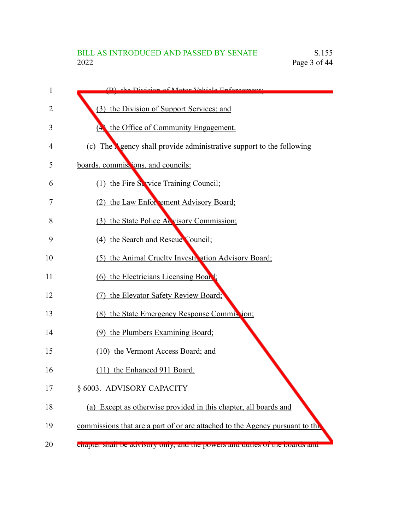| 1  | (B) the Division of Motor Vehicle Enforcement                                              |
|----|--------------------------------------------------------------------------------------------|
| 2  | (3) the Division of Support Services; and                                                  |
| 3  | the Office of Community Engagement.<br>$\left( \begin{matrix} \Delta \end{matrix} \right)$ |
| 4  | (c) The <b>N</b> gency shall provide administrative support to the following               |
| 5  | boards, commissions, and councils:                                                         |
| 6  | (1) the Fire Service Training Council;                                                     |
| 7  | (2) the Law Enforcement Advisory Board;                                                    |
| 8  | (3) the State Police Acvisory Commission;                                                  |
| 9  | (4) the Search and Rescue Council;                                                         |
| 10 | (5) the Animal Cruelty Investit ation Advisory Board;                                      |
| 11 | (6) the Electricians Licensing Board:                                                      |
| 12 | (7) the Elevator Safety Review Board;                                                      |
| 13 | (8) the State Emergency Response Commission;                                               |
| 14 | (9) the Plumbers Examining Board;                                                          |
| 15 | (10) the Vermont Access Board; and                                                         |
| 16 | (11) the Enhanced 911 Board.                                                               |
| 17 | § 6003. ADVISORY CAPACITY                                                                  |
| 18 | (a) Except as otherwise provided in this chapter, all boards and                           |
| 19 | commissions that are a part of or are attached to the Agency pursuant to the               |
| 20 | enapter shan oc auvisory only, and the powers and duties or the boards and                 |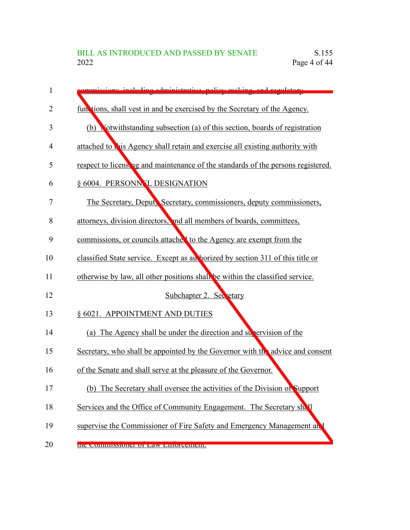| 1  | mmissions including edministrative policy meking and regulatory.                 |
|----|----------------------------------------------------------------------------------|
| 2  | functions, shall vest in and be exercised by the Secretary of the Agency.        |
| 3  | (b) Notwithstanding subsection (a) of this section, boards of registration       |
| 4  | attached to this Agency shall retain and exercise all existing authority with    |
| 5  | respect to licensing and maintenance of the standards of the persons registered. |
| 6  | § 6004. PERSONN. L DESIGNATION                                                   |
| 7  | The Secretary, Deputy Secretary, commissioners, deputy commissioners,            |
| 8  | attorneys, division directors, and all members of boards, committees,            |
| 9  | commissions, or councils attached to the Agency are exempt from the              |
| 10 | classified State service. Except as au horized by section 311 of this title or   |
| 11 | otherwise by law, all other positions shall be within the classified service.    |
| 12 | Subchapter 2. Secretary                                                          |
| 13 | § 6021. APPOINTMENT AND DUTIES                                                   |
| 14 | (a) The Agency shall be under the direction and supervision of the               |
| 15 | Secretary, who shall be appointed by the Governor with the advice and consent    |
| 16 | of the Senate and shall serve at the pleasure of the Governor.                   |
| 17 | (b) The Secretary shall oversee the activities of the Division of Support        |
| 18 | Services and the Office of Community Engagement. The Secretary shall             |
| 19 | supervise the Commissioner of Fire Safety and Emergency Management and           |
| 20 | the commissioner of Law Emorcement.                                              |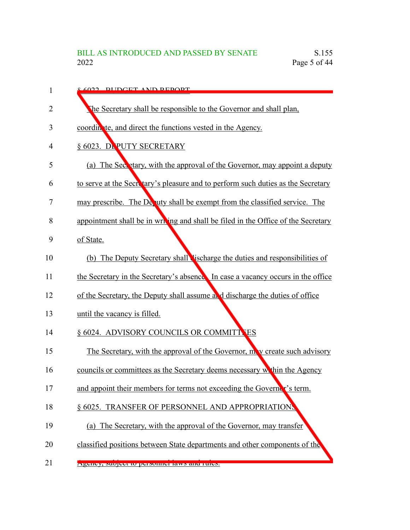| 1  | 6022 RUDGET AND REDORT                                                                 |
|----|----------------------------------------------------------------------------------------|
| 2  | The Secretary shall be responsible to the Governor and shall plan,                     |
| 3  | coordinate, and direct the functions vested in the Agency.                             |
| 4  | § 6023. DEPUTY SECRETARY                                                               |
| 5  | (a) The Secretary, with the approval of the Governor, may appoint a deputy             |
| 6  | to serve at the Secretary's pleasure and to perform such duties as the Secretary       |
| 7  | may prescribe. The $D_{\epsilon}$ aty shall be exempt from the classified service. The |
| 8  | appointment shall be in writing and shall be filed in the Office of the Secretary      |
| 9  | of State.                                                                              |
| 10 | (b) The Deputy Secretary shall lischarge the duties and responsibilities of            |
| 11 | the Secretary in the Secretary's absence. In case a vacancy occurs in the office       |
| 12 | of the Secretary, the Deputy shall assume and discharge the duties of office           |
| 13 | until the vacancy is filled.                                                           |
| 14 | § 6024. ADVISORY COUNCILS OR COMMITT ES                                                |
| 15 | The Secretary, with the approval of the Governor, my create such advisory              |
| 16 | councils or committees as the Secretary deems necessary within the Agency              |
| 17 | and appoint their members for terms not exceeding the Governer's term.                 |
| 18 | § 6025. TRANSFER OF PERSONNEL AND APPROPRIATIONS                                       |
| 19 | (a) The Secretary, with the approval of the Governor, may transfer                     |
| 20 | classified positions between State departments and other components of the             |
| 21 | Agency, subject to personnel laws and rules.                                           |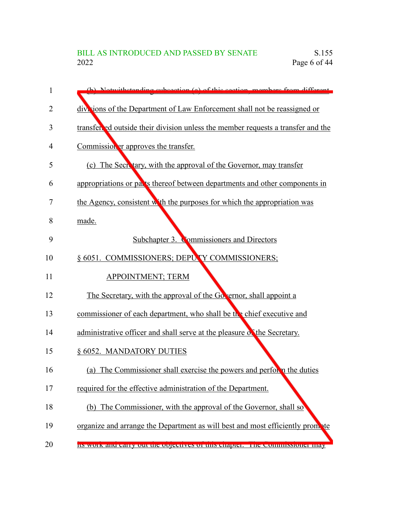| $\mathbf{1}$ | (b) Notwithstanding subsection (a) of this section members from different        |
|--------------|----------------------------------------------------------------------------------|
| 2            | divisions of the Department of Law Enforcement shall not be reassigned or        |
| 3            | transfer ed outside their division unless the member requests a transfer and the |
| 4            | Commission er approves the transfer.                                             |
| 5            | (c) The Secretary, with the approval of the Governor, may transfer               |
| 6            | appropriations or parts thereof between departments and other components in      |
| 7            | the Agency, consistent with the purposes for which the appropriation was         |
| 8            | made.                                                                            |
| 9            | Subchapter 3. Commissioners and Directors                                        |
| 10           | § 6051. COMMISSIONERS; DEPUTY COMMISSIONERS;                                     |
| 11           | <b>APPOINTMENT; TERM</b>                                                         |
| 12           | The Secretary, with the approval of the Go ernor, shall appoint a                |
| 13           | commissioner of each department, who shall be the chief executive and            |
| 14           | administrative officer and shall serve at the pleasure of the Secretary.         |
| 15           | § 6052. MANDATORY DUTIES                                                         |
| 16           | (a) The Commissioner shall exercise the powers and perform the duties            |
| 17           | required for the effective administration of the Department.                     |
| 18           | (b) The Commissioner, with the approval of the Governor, shall so                |
| 19           | organize and arrange the Department as will best and most efficiently prompte    |
| 20           | Its work and early out the objectives of this enapter. The commissioner may      |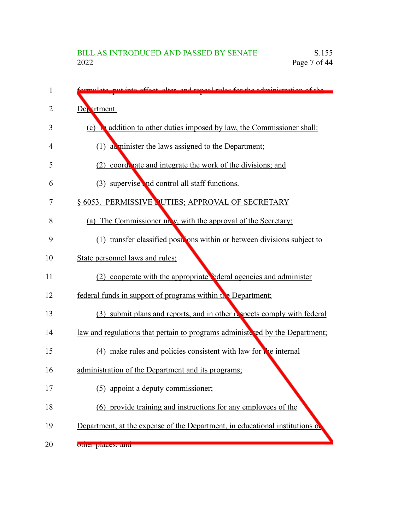| 1  | remulate put into offect alter and repeal rules for the administration of the |
|----|-------------------------------------------------------------------------------|
| 2  | Department.                                                                   |
| 3  | a addition to other duties imposed by law, the Commissioner shall:<br>(c)     |
| 4  | (1) a minister the laws assigned to the Department;                           |
| 5  | (2) coordenate and integrate the work of the divisions; and                   |
| 6  | (3) supervise and control all staff functions.                                |
| 7  | § 6053. PERMISSIVE NUTIES; APPROVAL OF SECRETARY                              |
| 8  | (a) The Commissioner may, with the approval of the Secretary:                 |
| 9  | (1) transfer classified positions within or between divisions subject to      |
| 10 | State personnel laws and rules;                                               |
| 11 | (2) cooperate with the appropriate ederal agencies and administer             |
| 12 | federal funds in support of programs within the Department;                   |
| 13 | (3) submit plans and reports, and in other respects comply with federal       |
| 14 | law and regulations that pertain to programs administered by the Department;  |
| 15 | (4) make rules and policies consistent with law for the internal              |
| 16 | administration of the Department and its programs;                            |
| 17 | appoint a deputy commissioner;<br>(5)                                         |
| 18 | (6) provide training and instructions for any employees of the                |
| 19 | Department, at the expense of the Department, in educational institutions of  |
| 20 | ouici praces, and                                                             |
|    |                                                                               |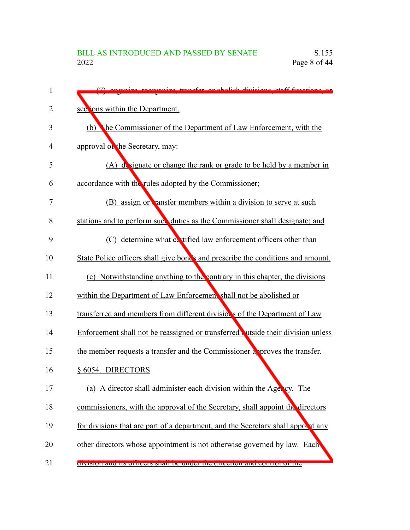| 1  | (7) organize regraanize transfer or abolish divisions staff functions or         |
|----|----------------------------------------------------------------------------------|
| 2  | sections within the Department.                                                  |
| 3  | The Commissioner of the Department of Law Enforcement, with the<br>(b)           |
| 4  | approval on the Secretary, may:                                                  |
| 5  | (A) designate or change the rank or grade to be held by a member in              |
| 6  | accordance with the rules adopted by the Commissioner;                           |
| 7  | (B) assign or vansfer members within a division to serve at such                 |
| 8  | stations and to perform suck duties as the Commissioner shall designate; and     |
| 9  | (C) determine what costified law enforcement officers other than                 |
| 10 | State Police officers shall give bonds and prescribe the conditions and amount.  |
| 11 | (c) Notwithstanding anything to the contrary in this chapter, the divisions      |
| 12 | within the Department of Law Enforcement shall not be abolished or               |
| 13 | transferred and members from different divisions of the Department of Law        |
| 14 | Enforcement shall not be reassigned or transferred outside their division unless |
| 15 | the member requests a transfer and the Commissioner approves the transfer.       |
| 16 | § 6054. DIRECTORS                                                                |
| 17 | (a) A director shall administer each division within the Agency. The             |
| 18 | commissioners, with the approval of the Secretary, shall appoint the directors   |
| 19 | for divisions that are part of a department, and the Secretary shall appoint any |
| 20 | other directors whose appointment is not otherwise governed by law. Each         |
| 21 | division and its officers share be under the uncertain and control of the        |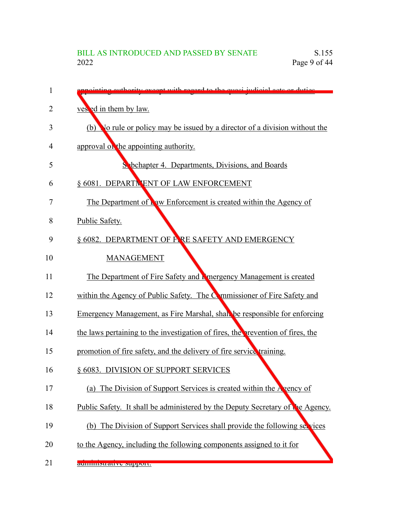| 1              | nting outhority except with regard to the quogi indicial gate or duties         |
|----------------|---------------------------------------------------------------------------------|
| $\overline{2}$ | ves ed in them by law.                                                          |
| 3              | (b) No rule or policy may be issued by a director of a division without the     |
| 4              | approval on the appointing authority.                                           |
| 5              | Sabchapter 4. Departments, Divisions, and Boards                                |
| 6              | § 6081. DEPARTNENT OF LAW ENFORCEMENT                                           |
| 7              | The Department of $\Gamma$ aw Enforcement is created within the Agency of       |
| 8              | Public Safety.                                                                  |
| 9              | § 6082. DEPARTMENT OF F.RE SAFETY AND EMERGENCY                                 |
| 10             | <b>MANAGEMENT</b>                                                               |
| 11             | The Department of Fire Safety and Lenergency Management is created              |
| 12             | within the Agency of Public Safety. The Commissioner of Fire Safety and         |
| 13             | Emergency Management, as Fire Marshal, shall be responsible for enforcing       |
| 14             | the laws pertaining to the investigation of fires, the prevention of fires, the |
| 15             | promotion of fire safety, and the delivery of fire service training.            |
| 16             | § 6083. DIVISION OF SUPPORT SERVICES                                            |
| 17             | (a) The Division of Support Services is created within the Agency of            |
| 18             | Public Safety. It shall be administered by the Deputy Secretary of the Agency.  |
| 19             | (b) The Division of Support Services shall provide the following services       |
| 20             | to the Agency, including the following components assigned to it for            |
| 21             | aummintative support.                                                           |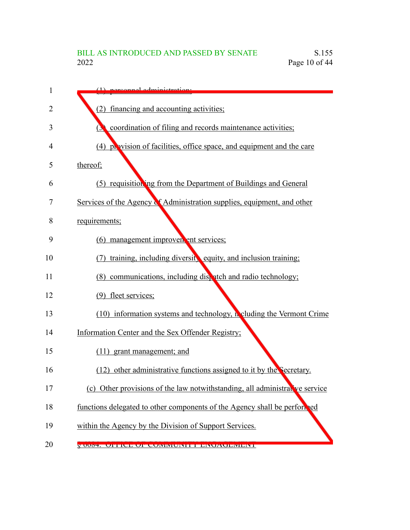| 1  | $(1)$ norganual administration.                                             |
|----|-----------------------------------------------------------------------------|
| 2  | (2) financing and accounting activities;                                    |
| 3  | coordination of filing and records maintenance activities;<br>$\mathbf{C}$  |
| 4  | (4) provision of facilities, office space, and equipment and the care       |
| 5  | thereof;                                                                    |
| 6  | (5) requisitioning from the Department of Buildings and General             |
| 7  | Services of the Agency of Administration supplies, equipment, and other     |
| 8  | requirements;                                                               |
| 9  | (6) management improver ent services;                                       |
| 10 | training, including diversit, equity, and inclusion training;               |
| 11 | (8) communications, including dispatch and radio technology;                |
| 12 | (9) fleet services;                                                         |
| 13 | $(10)$ information systems and technology, neluding the Vermont Crime       |
| 14 | Information Center and the Sex Offender Registry;                           |
| 15 | (11) grant management; and                                                  |
| 16 | (12) other administrative functions assigned to it by the Secretary.        |
| 17 | (c) Other provisions of the law notwithstanding, all administrative service |
| 18 | functions delegated to other components of the Agency shall be performed    |
| 19 | within the Agency by the Division of Support Services.                      |
| 20 | <u>y 0004. Ulitlud uli uuniniuni illenuauliniuni i</u>                      |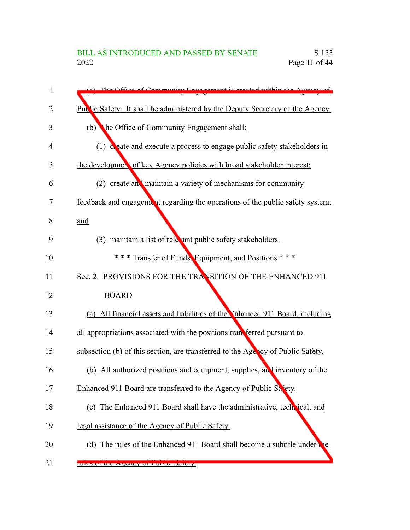| 1  | (a) The Office of Community Engagement is created within the Agency of          |
|----|---------------------------------------------------------------------------------|
| 2  | Public Safety. It shall be administered by the Deputy Secretary of the Agency.  |
| 3  | The Office of Community Engagement shall:<br>(b)                                |
| 4  | $(1)$ deate and execute a process to engage public safety stakeholders in       |
| 5  | the development of key Agency policies with broad stakeholder interest;         |
| 6  | (2) create and maintain a variety of mechanisms for community                   |
| 7  | feedback and engagement regarding the operations of the public safety system;   |
| 8  | and                                                                             |
| 9  | (3) maintain a list of relevant public safety stakeholders.                     |
| 10 | *** Transfer of Funds, Equipment, and Positions ***                             |
| 11 | Sec. 2. PROVISIONS FOR THE TRANSITION OF THE ENHANCED 911                       |
| 12 | <b>BOARD</b>                                                                    |
| 13 | (a) All financial assets and liabilities of the Inhanced 911 Board, including   |
| 14 | all appropriations associated with the positions transferred pursuant to        |
| 15 | subsection (b) of this section, are transferred to the Agency of Public Safety. |
| 16 | (b) All authorized positions and equipment, supplies, and inventory of the      |
| 17 | Enhanced 911 Board are transferred to the Agency of Public Safety.              |
| 18 | (c) The Enhanced 911 Board shall have the administrative, technical, and        |
| 19 | legal assistance of the Agency of Public Safety.                                |
| 20 | (d) The rules of the Enhanced 911 Board shall become a subtitle under the       |
| 21 | ruies of the Agency of Fuone Safety.                                            |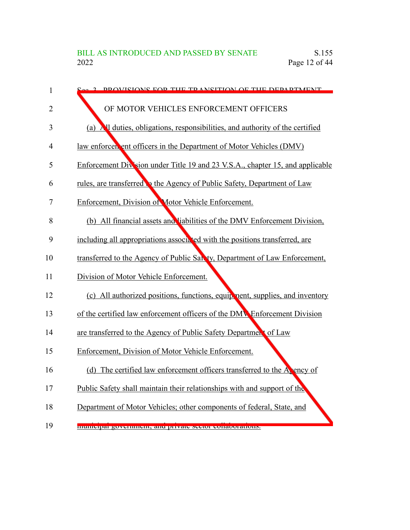| $\mathbf{1}$ | 2 DDOVICIONS FOD THE TD ANSITION OF THE DEDADTMENT                            |
|--------------|-------------------------------------------------------------------------------|
| 2            | OF MOTOR VEHICLES ENFORCEMENT OFFICERS                                        |
| 3            | (a) All duties, obligations, responsibilities, and authority of the certified |
| 4            | law enforcen ent officers in the Department of Motor Vehicles (DMV)           |
| 5            | Enforcement Division under Title 19 and 23 V.S.A., chapter 15, and applicable |
| 6            | rules, are transferred to the Agency of Public Safety, Department of Law      |
| 7            | Enforcement, Division of Motor Vehicle Enforcement.                           |
| 8            | (b) All financial assets and liabilities of the DMV Enforcement Division,     |
| 9            | including all appropriations associated with the positions transferred, are   |
| 10           | transferred to the Agency of Public San ty, Department of Law Enforcement,    |
| 11           | Division of Motor Vehicle Enforcement.                                        |
| 12           | (c) All authorized positions, functions, equipment, supplies, and inventory   |
| 13           | of the certified law enforcement officers of the DMV Enforcement Division     |
| 14           | are transferred to the Agency of Public Safety Department of Law              |
| 15           | Enforcement, Division of Motor Vehicle Enforcement.                           |
| 16           | (d) The certified law enforcement officers transferred to the $A_k$ ency of   |
| 17           | Public Safety shall maintain their relationships with and support of the      |
| 18           | Department of Motor Vehicles; other components of federal, State, and         |
| 19           | mumorpar government, and private sector conacciations.                        |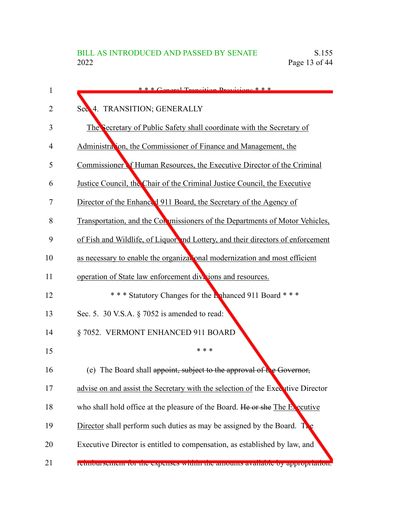| 1  | $***$ Conoral Transition Dravisions $***$                                       |
|----|---------------------------------------------------------------------------------|
| 2  | Sec 4. TRANSITION; GENERALLY                                                    |
| 3  | The Secretary of Public Safety shall coordinate with the Secretary of           |
| 4  | Administration, the Commissioner of Finance and Management, the                 |
| 5  | Commissioner of Human Resources, the Executive Director of the Criminal         |
| 6  | Justice Council, the Chair of the Criminal Justice Council, the Executive       |
| 7  | Director of the Enhanced 911 Board, the Secretary of the Agency of              |
| 8  | Transportation, and the Conomissioners of the Departments of Motor Vehicles,    |
| 9  | of Fish and Wildlife, of Liquor and Lottery, and their directors of enforcement |
| 10 | as necessary to enable the organizational modernization and most efficient      |
| 11 | operation of State law enforcement divisions and resources.                     |
| 12 | *** Statutory Changes for the Lahanced 911 Board ***                            |
| 13 | Sec. 5. 30 V.S.A. $\S$ 7052 is amended to read:                                 |
| 14 | §7052. VERMONT ENHANCED 911 BOARD                                               |
| 15 | * * *                                                                           |
| 16 | (e) The Board shall appoint, subject to the approval of the Governor,           |
| 17 | advise on and assist the Secretary with the selection of the Executive Director |
| 18 | who shall hold office at the pleasure of the Board. He or she The Executive     |
| 19 | Director shall perform such duties as may be assigned by the Board. The         |
| 20 | Executive Director is entitled to compensation, as established by law, and      |
| 21 | генносизениет тог ние ехреньез within the amounts available by арргориацоп.     |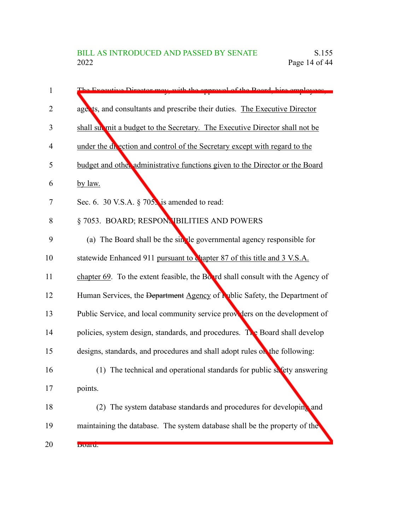| 1  | The Executive Director may with the ennroyal of the Poard, hire employees         |
|----|-----------------------------------------------------------------------------------|
| 2  | agents, and consultants and prescribe their duties. The Executive Director        |
| 3  | shall submit a budget to the Secretary. The Executive Director shall not be       |
| 4  | under the divection and control of the Secretary except with regard to the        |
| 5  | budget and other administrative functions given to the Director or the Board      |
| 6  | by law.                                                                           |
| 7  | Sec. 6. 30 V.S.A. $\S$ 705. is amended to read:                                   |
| 8  | § 7053. BOARD; RESPONNBILITIES AND POWERS                                         |
| 9  | (a) The Board shall be the single governmental agency responsible for             |
| 10 | statewide Enhanced 911 pursuant to chapter 87 of this title and 3 V.S.A.          |
| 11 | chapter 69. To the extent feasible, the Board shall consult with the Agency of    |
| 12 | Human Services, the Department Agency of <b>Nublic Safety</b> , the Department of |
| 13 | Public Service, and local community service providers on the development of       |
| 14 | policies, system design, standards, and procedures. The Board shall develop       |
| 15 | designs, standards, and procedures and shall adopt rules on the following:        |
| 16 | (1) The technical and operational standards for public safety answering           |
| 17 | points.                                                                           |
| 18 | (2) The system database standards and procedures for developing and               |
| 19 | maintaining the database. The system database shall be the property of the        |
| 20 | Duaru.                                                                            |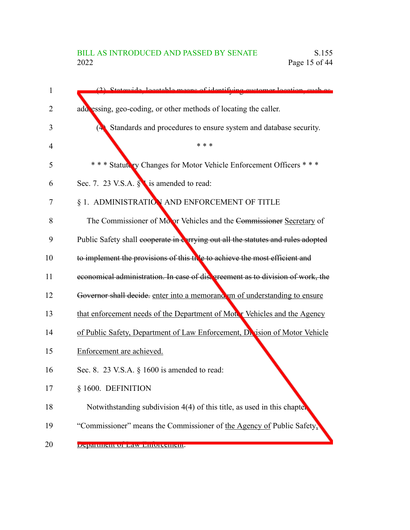# BILL AS INTRODUCED AND PASSED BY SENATE<br>2022 Page 15 of 44 Page  $15$  of  $44$

| 1  | (2) Statewide locatable means of identifying oustamer location, such as          |
|----|----------------------------------------------------------------------------------|
| 2  | add essing, geo-coding, or other methods of locating the caller.                 |
| 3  | Standards and procedures to ensure system and database security.                 |
| 4  | * * *                                                                            |
| 5  | *** Statutery Changes for Motor Vehicle Enforcement Officers ***                 |
| 6  | Sec. 7. 23 V.S.A. § is amended to read:                                          |
| 7  | § 1. ADMINISTRATION AND ENFORCEMENT OF TITLE                                     |
| 8  | The Commissioner of Moor Vehicles and the Commissioner Secretary of              |
| 9  | Public Safety shall cooperate in earrying out all the statutes and rules adopted |
| 10 | to implement the provisions of this the to achieve the most efficient and        |
| 11 | economical administration. In case of disagreement as to division of work, the   |
| 12 | Governor shall decide. enter into a memorand um of understanding to ensure       |
| 13 | that enforcement needs of the Department of Motor Vehicles and the Agency        |
| 14 | of Public Safety, Department of Law Enforcement, Dr ision of Motor Vehicle       |
| 15 | Enforcement are achieved.                                                        |
| 16 | Sec. 8. 23 V.S.A. $\S$ 1600 is amended to read:                                  |
| 17 | § 1600. DEFINITION                                                               |
| 18 | Notwithstanding subdivision 4(4) of this title, as used in this chapter          |
| 19 | "Commissioner" means the Commissioner of the Agency of Public Safety,            |
| 20 | Department of Law Emorement.                                                     |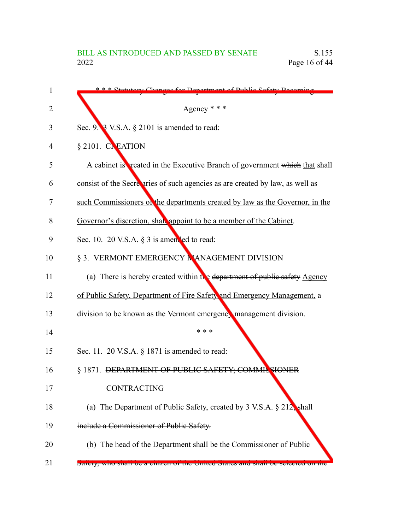| 1  | * * * Ctotutory Changes for Department of Public Sefety Recoming               |
|----|--------------------------------------------------------------------------------|
| 2  | Agency * * *                                                                   |
| 3  | Sec. 9. 3 V.S.A. § 2101 is amended to read:                                    |
| 4  | $§$ 2101. CREATION                                                             |
| 5  | A cabinet is reated in the Executive Branch of government which that shall     |
| 6  | consist of the Secretaries of such agencies as are created by law, as well as  |
| 7  | such Commissioners on the departments created by law as the Governor, in the   |
| 8  | Governor's discretion, shall appoint to be a member of the Cabinet.            |
| 9  | Sec. 10. 20 V.S.A. § 3 is amended to read:                                     |
| 10 | § 3. VERMONT EMERGENCY NANAGEMENT DIVISION                                     |
| 11 | (a) There is hereby created within the department of public safety Agency      |
| 12 | of Public Safety, Department of Fire Safety and Emergency Management, a        |
| 13 | division to be known as the Vermont emergency management division.             |
| 14 | * * *                                                                          |
| 15 | Sec. 11. 20 V.S.A. § 1871 is amended to read:                                  |
| 16 | § 1871. DEPARTMENT OF PUBLIC SAFETY; COMMIS SIONER                             |
| 17 | CONTRACTING                                                                    |
| 18 | (a) The Department of Public Safety, created by 3 V.S.A. § 212, shall          |
| 19 | include a Commissioner of Public Safety.                                       |
| 20 | (b) The head of the Department shall be the Commissioner of Public             |
| 21 | Barcty, who share be a chizen of the Chileu Blates and share be scieded on the |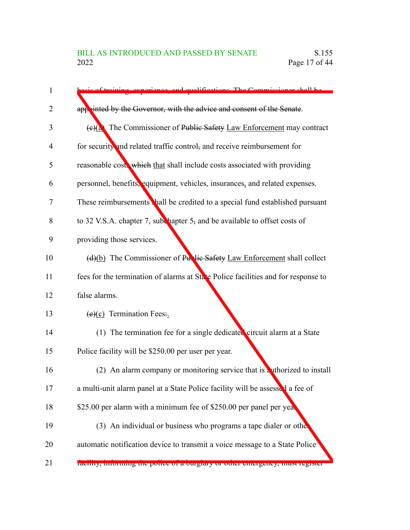| 1  | sis of training experience and qualifications. The Commissioner shall be          |
|----|-----------------------------------------------------------------------------------|
| 2  | appointed by the Governor, with the advice and consent of the Senate.             |
| 3  | The Commissioner of Public Safety Law Enforcement may contract<br>(e)(a)          |
| 4  | for security and related traffic control, and receive reimbursement for           |
| 5  | reasonable cost, which that shall include costs associated with providing         |
| 6  | personnel, benefits, equipment, vehicles, insurances, and related expenses.       |
| 7  | These reimbursements hall be credited to a special fund established pursuant      |
| 8  | to 32 V.S.A. chapter 7, subchapter $5$ , and be available to offset costs of      |
| 9  | providing those services.                                                         |
| 10 | (d)(b) The Commissioner of Purtie Safety Law Enforcement shall collect            |
| 11 | fees for the termination of alarms at State Police facilities and for response to |
| 12 | false alarms.                                                                     |
| 13 | $(e)(c)$ Termination Fees.                                                        |
| 14 | $(1)$ The termination fee for a single dedicated circuit alarm at a State         |
| 15 | Police facility will be \$250.00 per user per year.                               |
| 16 | (2) An alarm company or monitoring service that is a uthorized to install         |
| 17 | a multi-unit alarm panel at a State Police facility will be assessed a fee of     |
| 18 | \$25.00 per alarm with a minimum fee of \$250.00 per panel per yea.               |
| 19 | (3) An individual or business who programs a tape dialer or other                 |
| 20 | automatic notification device to transmit a voice message to a State Police       |
| 21 | racinty, miorning the police of a burgiary or other emergency, must register      |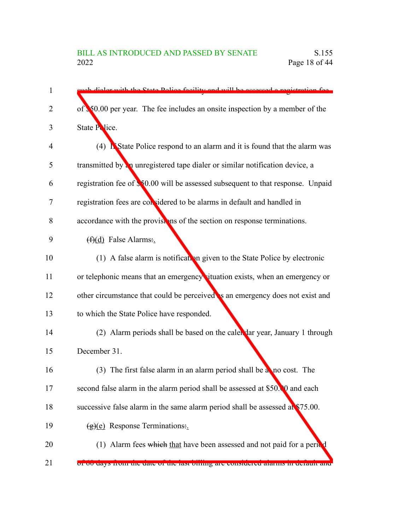| 1  | uph dialer with the State Police facility and will be accessed a registration fee.      |
|----|-----------------------------------------------------------------------------------------|
| 2  | of $\sqrt[3]{50.00}$ per year. The fee includes an onsite inspection by a member of the |
| 3  | State Police.                                                                           |
| 4  | (4) <b>N</b> State Police respond to an alarm and it is found that the alarm was        |
| 5  | transmitted by an unregistered tape dialer or similar notification device, a            |
| 6  | registration fee of \$50.00 will be assessed subsequent to that response. Unpaid        |
| 7  | registration fees are considered to be alarms in default and handled in                 |
| 8  | accordance with the provisions of the section on response terminations.                 |
| 9  | $(f)(d)$ False Alarms:                                                                  |
| 10 | (1) A false alarm is notification given to the State Police by electronic               |
| 11 | or telephonic means that an emergency situation exists, when an emergency or            |
| 12 | other circumstance that could be perceived s an emergency does not exist and            |
| 13 | to which the State Police have responded.                                               |
| 14 | (2) Alarm periods shall be based on the caler dar year, January 1 through               |
| 15 | December 31.                                                                            |
| 16 | (3) The first false alarm in an alarm period shall be a no cost. The                    |
| 17 | second false alarm in the alarm period shall be assessed at \$50.00 and each            |
| 18 | successive false alarm in the same alarm period shall be assessed at \$75.00.           |
| 19 | $(g)(e)$ Response Terminations:                                                         |
| 20 | (1) Alarm fees which that have been assessed and not paid for a period                  |
| 21 | or ou days from the date of the fast offing are considered afarms in default and        |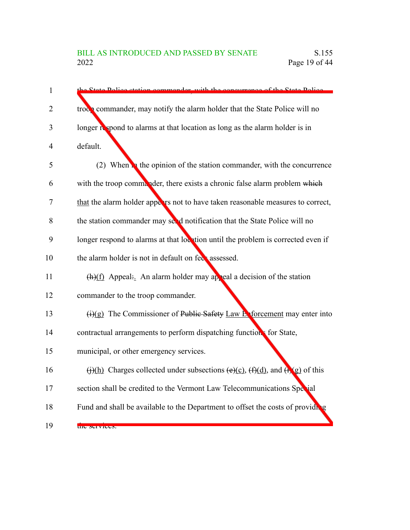| $\mathbf{1}$   | f the State Dolie<br>sta Daliaa                                                                                                     |
|----------------|-------------------------------------------------------------------------------------------------------------------------------------|
| 2              | troc <sub>2</sub> commander, may notify the alarm holder that the State Police will no                                              |
| 3              | longer respond to alarms at that location as long as the alarm holder is in                                                         |
| $\overline{4}$ | default.                                                                                                                            |
| 5              | (2) When <b>the opinion of the station commander</b> , with the concurrence                                                         |
| 6              | with the troop commander, there exists a chronic false alarm problem which                                                          |
| 7              | that the alarm holder appears not to have taken reasonable measures to correct,                                                     |
| 8              | the station commander may see d notification that the State Police will no                                                          |
| 9              | longer respond to alarms at that location until the problem is corrected even if                                                    |
| 10             | the alarm holder is not in default on feet assessed.                                                                                |
| 11             | $(h)(f)$ Appeal: An alarm holder may appeal a decision of the station                                                               |
| 12             | commander to the troop commander.                                                                                                   |
| 13             | $\overline{(i)(g)}$ The Commissioner of Public Safety Law Extorcement may enter into                                                |
| 14             | contractual arrangements to perform dispatching functions for State,                                                                |
| 15             | municipal, or other emergency services.                                                                                             |
| 16             | $\overline{(f)(h)}$ Charges collected under subsections $\overline{(e)(c)}$ , $\overline{(f)(d)}$ , and $\overline{(f)(g)}$ of this |
| 17             | section shall be credited to the Vermont Law Telecommunications Special                                                             |
| 18             | Fund and shall be available to the Department to offset the costs of providing                                                      |
| 19             | the services.                                                                                                                       |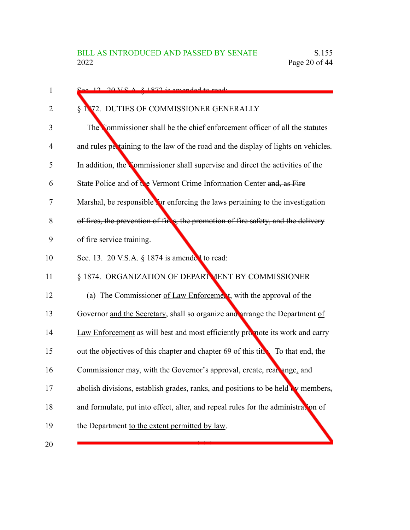| $\mathbf{1}$ | $\approx$ 12 20 V S A $\approx$ 1872 is amended to ready                           |
|--------------|------------------------------------------------------------------------------------|
| 2            | § 1872. DUTIES OF COMMISSIONER GENERALLY                                           |
| 3            | The Commissioner shall be the chief enforcement officer of all the statutes        |
| 4            | and rules pertaining to the law of the road and the display of lights on vehicles. |
| 5            | In addition, the Commissioner shall supervise and direct the activities of the     |
| 6            | State Police and of the Vermont Crime Information Center and, as Fire              |
| 7            | Marshal, be responsible for enforcing the laws pertaining to the investigation     |
| 8            | of fires, the prevention of fires, the promotion of fire safety, and the delivery  |
| 9            | of fire service training.                                                          |
| 10           | Sec. 13. 20 V.S.A. § 1874 is amended to read:                                      |
| 11           | § 1874. ORGANIZATION OF DEPARTMENT BY COMMISSIONER                                 |
| 12           | (a) The Commissioner of Law Enforcement, with the approval of the                  |
| 13           | Governor and the Secretary, shall so organize and arrange the Department of        |
| 14           | Law Enforcement as will best and most efficiently promote its work and carry       |
| 15           | out the objectives of this chapter and chapter 69 of this title. To that end, the  |
| 16           | Commissioner may, with the Governor's approval, create, rear ange, and             |
| 17           | abolish divisions, establish grades, ranks, and positions to be held w members,    |
| 18           | and formulate, put into effect, alter, and repeal rules for the administration of  |
| 19           | the Department to the extent permitted by law.                                     |
| 20           |                                                                                    |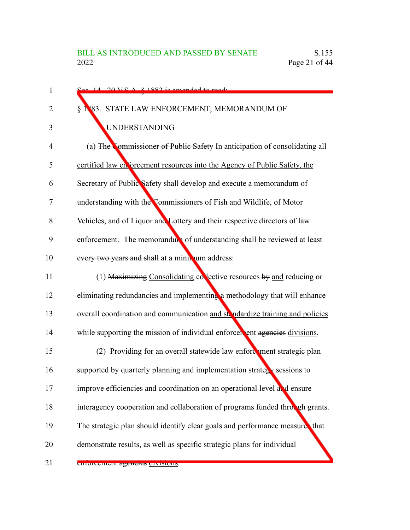| 1              | $\frac{S_{\alpha\alpha} - 14}{20 \text{ V}}$ $\frac{100 \text{ V}}{24 \text{ s}}$ is amonded to read. |
|----------------|-------------------------------------------------------------------------------------------------------|
| $\overline{2}$ | § 1883. STATE LAW ENFORCEMENT; MEMORANDUM OF                                                          |
| 3              | <b>UNDERSTANDING</b>                                                                                  |
| 4              | (a) The Commissioner of Public Safety In anticipation of consolidating all                            |
| 5              | certified law en forcement resources into the Agency of Public Safety, the                            |
| 6              | Secretary of Public Safety shall develop and execute a memorandum of                                  |
| 7              | understanding with the Commissioners of Fish and Wildlife, of Motor                                   |
| 8              | Vehicles, and of Liquor and Lottery and their respective directors of law                             |
| 9              | enforcement. The memorandum of understanding shall be reviewed at least                               |
| 10             | every two years and shall at a minin um address:                                                      |
| 11             | (1) Maximizing Consolidating collective resources by and reducing or                                  |
| 12             | eliminating redundancies and implementing a methodology that will enhance                             |
| 13             | overall coordination and communication and strated relating and policies                              |
| 14             | while supporting the mission of individual enforcer ent agencies divisions.                           |
| 15             | (2) Providing for an overall statewide law enforcement strategic plan                                 |
| 16             | supported by quarterly planning and implementation strategy sessions to                               |
| 17             | improve efficiencies and coordination on an operational level and ensure                              |
| 18             | interagency cooperation and collaboration of programs funded through grants.                          |
| 19             | The strategic plan should identify clear goals and performance measure, that                          |
| 20             | demonstrate results, as well as specific strategic plans for individual                               |
| 21             | emoreement agencies urvisituis.                                                                       |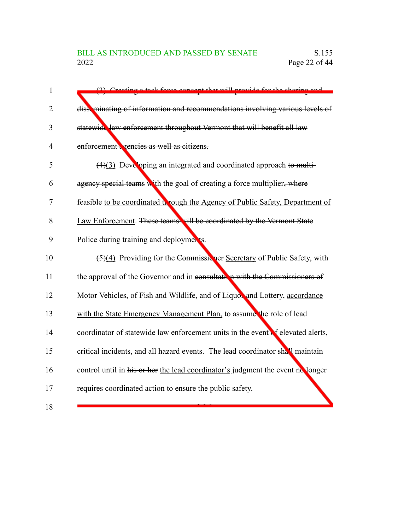| 1              | (2) Creating a took force concent that will provide for the sharing and         |
|----------------|---------------------------------------------------------------------------------|
| 2              | disseminating of information and recommendations involving various levels of    |
| 3              | statewide law enforcement throughout Vermont that will benefit all law          |
| $\overline{4}$ | enforcement eencies as well as citizens.                                        |
| 5              | $(4)(3)$ Developing an integrated and coordinated approach to multi-            |
| 6              | agency special teams with the goal of creating a force multiplier, where        |
| 7              | feasible to be coordinated to rough the Agency of Public Safety, Department of  |
| 8              | Law Enforcement. These teams vill be coordinated by the Vermont State           |
| 9              | Police during training and deployments.                                         |
| 10             | (5)(4) Providing for the Commissioner Secretary of Public Safety, with          |
| 11             | the approval of the Governor and in consultant in with the Commissioners of     |
| 12             | Motor Vehicles, of Fish and Wildlife, and of Liquot and Lottery, accordance     |
| 13             | with the State Emergency Management Plan, to assume the role of lead            |
| 14             | coordinator of statewide law enforcement units in the event of elevated alerts, |
| 15             | critical incidents, and all hazard events. The lead coordinator shall maintain  |
| 16             | control until in his or her the lead coordinator's judgment the event no longer |
| 17             | requires coordinated action to ensure the public safety.                        |
| 18             |                                                                                 |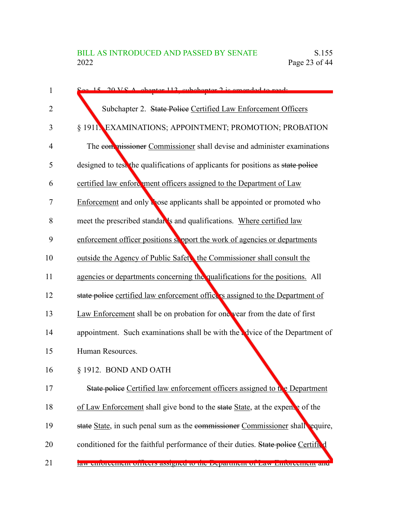| 1              | $\Omega_{\text{QQ}}$ 15 20 V.C.A. chanter 112 subchanter 2 is amonded to read.    |
|----------------|-----------------------------------------------------------------------------------|
| $\overline{2}$ | Subchapter 2. State Police Certified Law Enforcement Officers                     |
| 3              | § 1911. EXAMINATIONS; APPOINTMENT; PROMOTION; PROBATION                           |
| $\overline{4}$ | The contrassioner Commissioner shall devise and administer examinations           |
| 5              | designed to test the qualifications of applicants for positions as state police   |
| 6              | certified law enford ment officers assigned to the Department of Law              |
| 7              | Enforcement and only bose applicants shall be appointed or promoted who           |
| 8              | meet the prescribed standar's and qualifications. Where certified law             |
| 9              | enforcement officer positions support the work of agencies or departments         |
| 10             | outside the Agency of Public Safety the Commissioner shall consult the            |
| 11             | agencies or departments concerning the qualifications for the positions. All      |
| 12             | state police certified law enforcement office is assigned to the Department of    |
| 13             | Law Enforcement shall be on probation for one year from the date of first         |
| 14             | appointment. Such examinations shall be with the advice of the Department of      |
| 15             | Human Resources.                                                                  |
| 16             | § 1912. BOND AND OATH                                                             |
| 17             | State police Certified law enforcement officers assigned to the Department        |
| 18             | of Law Enforcement shall give bond to the state State, at the expents of the      |
| 19             | state State, in such penal sum as the commissioner Commissioner shall equire,     |
| 20             | conditioned for the faithful performance of their duties. State police Certifical |
| 21             | law chroneement officers assigned to the Department of Law Emoreement and         |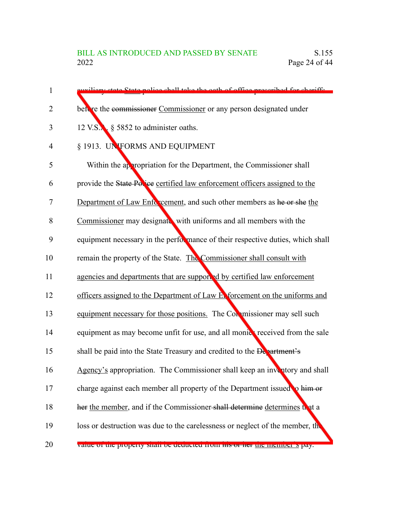| 1  | viliary state State police shall take the oath of office prescribed for shariffs.     |
|----|---------------------------------------------------------------------------------------|
| 2  | bettere the commissioner Commissioner or any person designated under                  |
| 3  | 12 V.S. § 5852 to administer oaths.                                                   |
| 4  | § 1913. UNIFORMS AND EQUIPMENT                                                        |
| 5  | Within the appropriation for the Department, the Commissioner shall                   |
| 6  | provide the State Police certified law enforcement officers assigned to the           |
| 7  | Department of Law Enforcement, and such other members as he or she the                |
| 8  | Commissioner may designate with uniforms and all members with the                     |
| 9  | equipment necessary in the performance of their respective duties, which shall        |
| 10 | remain the property of the State. The Commissioner shall consult with                 |
| 11 | agencies and departments that are supported by certified law enforcement              |
| 12 | officers assigned to the Department of Law Exforcement on the uniforms and            |
| 13 | equipment necessary for those positions. The Commissioner may sell such               |
| 14 | equipment as may become unfit for use, and all monics received from the sale          |
| 15 | shall be paid into the State Treasury and credited to the Department's                |
| 16 | Agency's appropriation. The Commissioner shall keep an inventory and shall            |
| 17 | charge against each member all property of the Department issued to him or            |
| 18 | her the member, and if the Commissioner-shall determine determines that a             |
| 19 | loss or destruction was due to the carelessness or neglect of the member, the         |
| 20 | value of the property shall be deducted from <del>ms of net</del> the includer s pay. |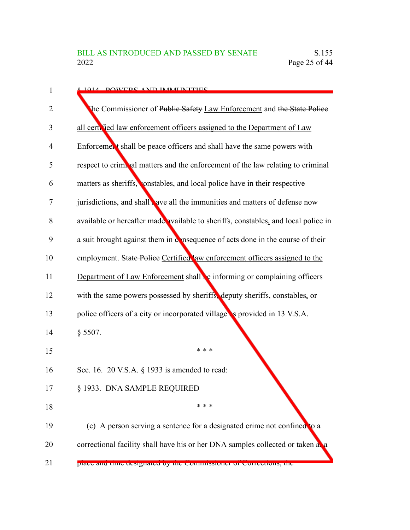| 1  | <b>8 1014 DOWEDS AND IMMI IMITIES</b>                                              |
|----|------------------------------------------------------------------------------------|
| 2  | The Commissioner of Public Safety Law Enforcement and the State Police             |
| 3  | all cert. Ted law enforcement officers assigned to the Department of Law           |
| 4  | Enforcement shall be peace officers and shall have the same powers with            |
| 5  | respect to criminal matters and the enforcement of the law relating to criminal    |
| 6  | matters as sheriffs, constables, and local police have in their respective         |
| 7  | jurisdictions, and shall ave all the immunities and matters of defense now         |
| 8  | available or hereafter made available to sheriffs, constables, and local police in |
| 9  | a suit brought against them in consequence of acts done in the course of their     |
| 10 | employment. State Police Certified aw enforcement officers assigned to the         |
| 11 | Department of Law Enforcement shall be informing or complaining officers           |
| 12 | with the same powers possessed by sheriffs, deputy sheriffs, constables, or        |
| 13 | police officers of a city or incorporated village s provided in 13 V.S.A.          |
| 14 | $§$ 5507.                                                                          |
| 15 | * * *                                                                              |
| 16 | Sec. 16. 20 V.S.A. § 1933 is amended to read:                                      |
| 17 | § 1933. DNA SAMPLE REQUIRED                                                        |
| 18 | * * *                                                                              |
| 19 | (c) A person serving a sentence for a designated crime not confined to a           |
| 20 | correctional facility shall have his or her DNA samples collected or taken at a    |
| 21 | prace and time designated by the commissioner of corrections, the                  |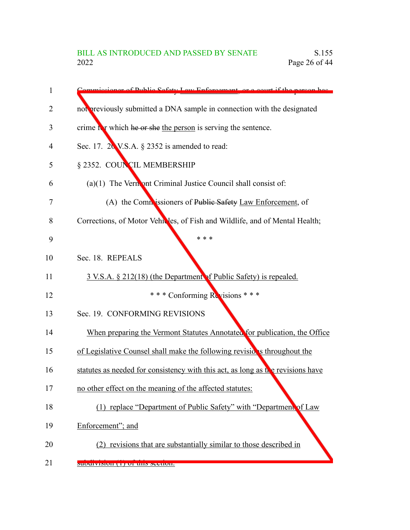| 1  | mmissioner of Public Sefety Law Enforcement, or a court if the nerson has       |
|----|---------------------------------------------------------------------------------|
| 2  | not previously submitted a DNA sample in connection with the designated         |
| 3  | crime it which he or she the person is serving the sentence.                    |
| 4  | Sec. 17. $20$ V.S.A. $\S$ 2352 is amended to read:                              |
| 5  | § 2352. COUNCIL MEMBERSHIP                                                      |
| 6  | $(a)(1)$ The Vermont Criminal Justice Council shall consist of:                 |
| 7  | (A) the Commissioners of Public Safety Law Enforcement, of                      |
| 8  | Corrections, of Motor Vehicles, of Fish and Wildlife, and of Mental Health;     |
| 9  | * * *                                                                           |
| 10 | Sec. 18. REPEALS                                                                |
| 11 | 3 V.S.A. § 212(18) (the Department of Public Safety) is repealed.               |
| 12 | *** Conforming Revisions ***                                                    |
| 13 | Sec. 19. CONFORMING REVISIONS                                                   |
| 14 | When preparing the Vermont Statutes Annotated for publication, the Office       |
| 15 | of Legislative Counsel shall make the following revisions throughout the        |
| 16 | statutes as needed for consistency with this act, as long as the revisions have |
| 17 | no other effect on the meaning of the affected statutes:                        |
| 18 | (1) replace "Department of Public Safety" with "Department of Law               |
| 19 | Enforcement"; and                                                               |
| 20 | (2) revisions that are substantially similar to those described in              |
| 21 | <b>SUDUIVISION (1) OF UNS SUCHON.</b>                                           |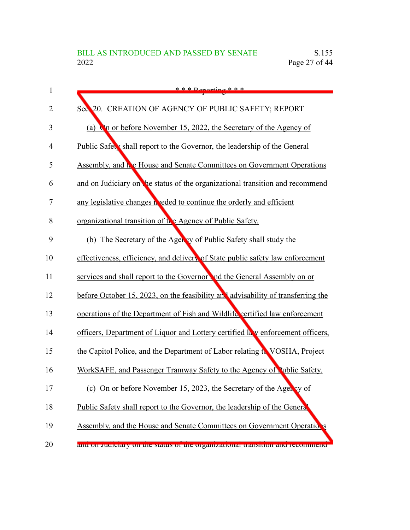| $\mathbf{1}$ | $* * *$ Departing * * *                                                          |
|--------------|----------------------------------------------------------------------------------|
| 2            | Sec 20. CREATION OF AGENCY OF PUBLIC SAFETY; REPORT                              |
| 3            | <b>On</b> or before November 15, 2022, the Secretary of the Agency of<br>(a)     |
| 4            | Public Safety shall report to the Governor, the leadership of the General        |
| 5            | Assembly, and the House and Senate Committees on Government Operations           |
| 6            | and on Judiciary on the status of the organizational transition and recommend    |
| 7            | any legislative changes needed to continue the orderly and efficient             |
| 8            | organizational transition of the Agency of Public Safety.                        |
| 9            | (b) The Secretary of the Agency of Public Safety shall study the                 |
| 10           | effectiveness, efficiency, and delivery of State public safety law enforcement   |
| 11           | services and shall report to the Governor and the General Assembly on or         |
| 12           | before October 15, 2023, on the feasibility and advisability of transferring the |
| 13           | operations of the Department of Fish and Wildlife certified law enforcement      |
| 14           | officers, Department of Liquor and Lottery certified law enforcement officers,   |
| 15           | the Capitol Police, and the Department of Labor relating to VOSHA, Project       |
| 16           | WorkSAFE, and Passenger Tramway Safety to the Agency of Public Safety.           |
| 17           | (c) On or before November 15, 2023, the Secretary of the Agency of               |
| 18           | Public Safety shall report to the Governor, the leadership of the Genera         |
| 19           | Assembly, and the House and Senate Committees on Government Operations           |
| 20           | and on Juditary on the Status of the organizational transition and recommend     |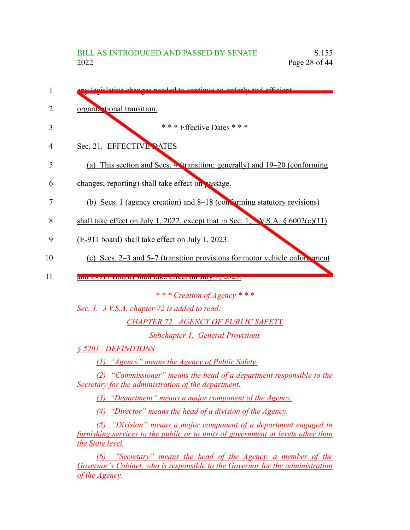| 1              | Jegiclative changes needed to continue an orderly and efficient                                                                                                           |
|----------------|---------------------------------------------------------------------------------------------------------------------------------------------------------------------------|
| $\overline{2}$ | organizational transition.                                                                                                                                                |
| 3              | * * * Effective Dates * * *                                                                                                                                               |
| 4              | Sec. 21. EFFECTIVE PATES                                                                                                                                                  |
| 5              | (a) This section and Secs. 4 (transition; generally) and 19–20 (conforming                                                                                                |
| 6              | changes; reporting) shall take effect on passage.                                                                                                                         |
| 7              | (b) Secs. 1 (agency creation) and 8–18 (conforming statutory revisions)                                                                                                   |
| 8              | shall take effect on July 1, 2022, except that in Sec. 1, N.S.A. $\S 6002(c)(11)$                                                                                         |
| 9              | (E-911 board) shall take effect on July 1, 2023.                                                                                                                          |
| 10             | (c) Secs. $2-3$ and $5-7$ (transition provisions for motor vehicle enforcement                                                                                            |
| 11             | and E-711 Doard) shall take effect on July 1, 2025.                                                                                                                       |
|                | * * * Creation of Agency * * *                                                                                                                                            |
|                | Sec. 1. 3 V.S.A. chapter 72 is added to read:                                                                                                                             |
|                | <b>CHAPTER 72. AGENCY OF PUBLIC SAFETY</b>                                                                                                                                |
|                | <b>Subchapter 1. General Provisions</b>                                                                                                                                   |
|                | § 5201. DEFINITIONS                                                                                                                                                       |
|                | (1) "Agency" means the Agency of Public Safety.                                                                                                                           |
|                | (2) "Commissioner" means the head of a department responsible to the<br>Secretary for the administration of the department.                                               |
|                | $(3)$ "Department" means a major component of the Agency.                                                                                                                 |
|                | (4) "Director" means the head of a division of the Agency.                                                                                                                |
|                | (5) "Division" means a major component of a department engaged in<br>furnishing services to the public or to units of government at levels other than<br>the State level. |
|                | (6) "Secretary" means the head of the Agency, a member of the<br>Governor's Cabinet, who is responsible to the Governor for the administration<br>of the Agency.          |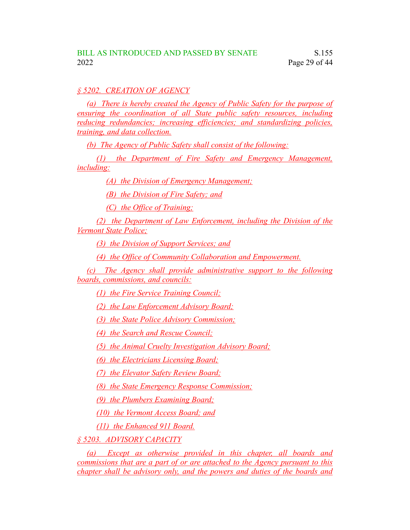# *§ 5202. CREATION OF AGENCY*

*(a) There is hereby created the Agency of Public Safety for the purpose of ensuring the coordination of all State public safety resources, including reducing redundancies; increasing efficiencies; and standardizing policies, training, and data collection.*

*(b) The Agency of Public Safety shall consist of the following:*

*(1) the Department of Fire Safety and Emergency Management, including:*

*(A) the Division of Emergency Management;*

*(B) the Division of Fire Safety; and*

*(C) the Office of Training;*

*(2) the Department of Law Enforcement, including the Division of the Vermont State Police;*

*(3) the Division of Support Services; and*

*(4) the Office of Community Collaboration and Empowerment.*

*(c) The Agency shall provide administrative support to the following boards, commissions, and councils:*

*(1) the Fire Service Training Council;*

*(2) the Law Enforcement Advisory Board;*

*(3) the State Police Advisory Commission;*

*(4) the Search and Rescue Council;*

*(5) the Animal Cruelty Investigation Advisory Board;*

*(6) the Electricians Licensing Board;*

*(7) the Elevator Safety Review Board;*

*(8) the State Emergency Response Commission;*

*(9) the Plumbers Examining Board;*

*(10) the Vermont Access Board; and*

*(11) the Enhanced 911 Board.*

*§ 5203. ADVISORY CAPACITY*

*(a) Except as otherwise provided in this chapter, all boards and commissions that are a part of or are attached to the Agency pursuant to this chapter shall be advisory only, and the powers and duties of the boards and*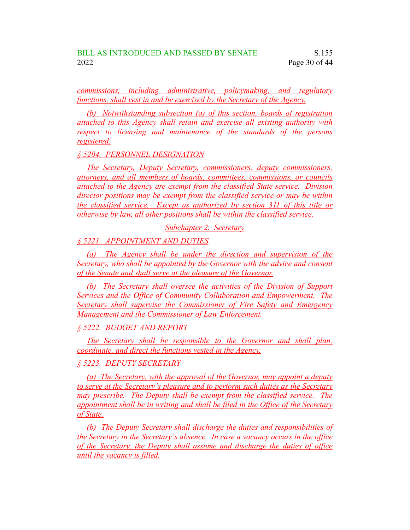*commissions, including administrative, policymaking, and regulatory functions, shall vest in and be exercised by the Secretary of the Agency.*

*(b) Notwithstanding subsection (a) of this section, boards of registration attached to this Agency shall retain and exercise all existing authority with respect to licensing and maintenance of the standards of the persons registered.*

*§ 5204. PERSONNEL DESIGNATION*

*The Secretary, Deputy Secretary, commissioners, deputy commissioners, attorneys, and all members of boards, committees, commissions, or councils attached to the Agency are exempt from the classified State service. Division director positions may be exempt from the classified service or may be within the classified service. Except as authorized by section 311 of this title or otherwise by law, all other positions shall be within the classified service.*

*Subchapter 2. Secretary*

*§ 5221. APPOINTMENT AND DUTIES*

*(a) The Agency shall be under the direction and supervision of the Secretary, who shall be appointed by the Governor with the advice and consent of the Senate and shall serve at the pleasure of the Governor.*

*(b) The Secretary shall oversee the activities of the Division of Support Services and the Office of Community Collaboration and Empowerment. The Secretary shall supervise the Commissioner of Fire Safety and Emergency Management and the Commissioner of Law Enforcement.*

*§ 5222. BUDGET AND REPORT*

*The Secretary shall be responsible to the Governor and shall plan, coordinate, and direct the functions vested in the Agency.*

*§ 5223. DEPUTY SECRETARY*

*(a) The Secretary, with the approval of the Governor, may appoint a deputy to serve at the Secretary's pleasure and to perform such duties as the Secretary may prescribe. The Deputy shall be exempt from the classified service. The appointment shall be in writing and shall be filed in the Office of the Secretary of State.*

*(b) The Deputy Secretary shall discharge the duties and responsibilities of the Secretary in the Secretary's absence. In case a vacancy occurs in the office of the Secretary, the Deputy shall assume and discharge the duties of office until the vacancy is filled.*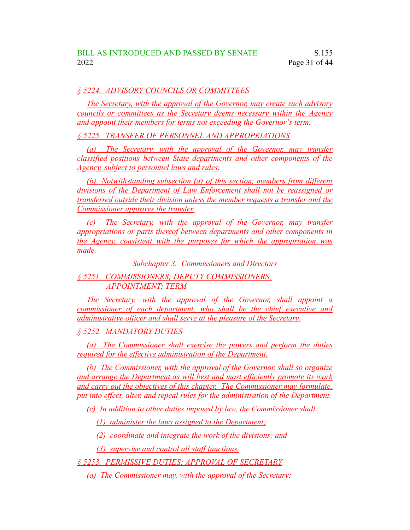# *§ 5224. ADVISORY COUNCILS OR COMMITTEES*

*The Secretary, with the approval of the Governor, may create such advisory councils or committees as the Secretary deems necessary within the Agency and appoint their members for terms not exceeding the Governor's term.*

*§ 5225. TRANSFER OF PERSONNEL AND APPROPRIATIONS*

*(a) The Secretary, with the approval of the Governor, may transfer classified positions between State departments and other components of the Agency, subject to personnel laws and rules.*

*(b) Notwithstanding subsection (a) of this section, members from different divisions of the Department of Law Enforcement shall not be reassigned or transferred outside their division unless the member requests a transfer and the Commissioner approves the transfer.*

*(c) The Secretary, with the approval of the Governor, may transfer appropriations or parts thereof between departments and other components in the Agency, consistent with the purposes for which the appropriation was made.*

*Subchapter 3. Commissioners and Directors*

*§ 5251. COMMISSIONERS; DEPUTY COMMISSIONERS; APPOINTMENT; TERM*

*The Secretary, with the approval of the Governor, shall appoint a commissioner of each department, who shall be the chief executive and administrative officer and shall serve at the pleasure of the Secretary.*

*§ 5252. MANDATORY DUTIES*

*(a) The Commissioner shall exercise the powers and perform the duties required for the effective administration of the Department.*

*(b) The Commissioner, with the approval of the Governor, shall so organize and arrange the Department as will best and most efficiently promote its work and carry out the objectives of this chapter. The Commissioner may formulate, put into effect, alter, and repeal rules for the administration of the Department.*

*(c) In addition to other duties imposed by law, the Commissioner shall:*

*(1) administer the laws assigned to the Department;*

*(2) coordinate and integrate the work of the divisions; and*

*(3) supervise and control all staff functions.*

*§ 5253. PERMISSIVE DUTIES; APPROVAL OF SECRETARY*

*(a) The Commissioner may, with the approval of the Secretary:*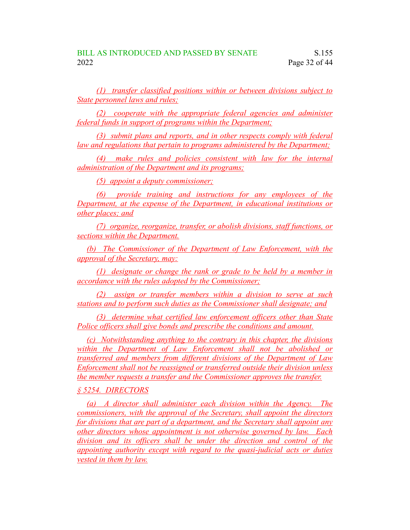*(1) transfer classified positions within or between divisions subject to State personnel laws and rules;*

*(2) cooperate with the appropriate federal agencies and administer federal funds in support of programs within the Department;*

*(3) submit plans and reports, and in other respects comply with federal law and regulations that pertain to programs administered by the Department;*

*(4) make rules and policies consistent with law for the internal administration of the Department and its programs;*

*(5) appoint a deputy commissioner;*

*(6) provide training and instructions for any employees of the Department, at the expense of the Department, in educational institutions or other places; and*

*(7) organize, reorganize, transfer, or abolish divisions, staff functions, or sections within the Department.*

*(b) The Commissioner of the Department of Law Enforcement, with the approval of the Secretary, may:*

*(1) designate or change the rank or grade to be held by a member in accordance with the rules adopted by the Commissioner;*

*(2) assign or transfer members within a division to serve at such stations and to perform such duties as the Commissioner shall designate; and*

*(3) determine what certified law enforcement officers other than State Police officers shall give bonds and prescribe the conditions and amount.*

*(c) Notwithstanding anything to the contrary in this chapter, the divisions within the Department of Law Enforcement shall not be abolished or transferred and members from different divisions of the Department of Law Enforcement shall not be reassigned or transferred outside their division unless the member requests a transfer and the Commissioner approves the transfer.*

*§ 5254. DIRECTORS*

*(a) A director shall administer each division within the Agency. The commissioners, with the approval of the Secretary, shall appoint the directors for divisions that are part of a department, and the Secretary shall appoint any other directors whose appointment is not otherwise governed by law. Each division and its officers shall be under the direction and control of the appointing authority except with regard to the quasi-judicial acts or duties vested in them by law.*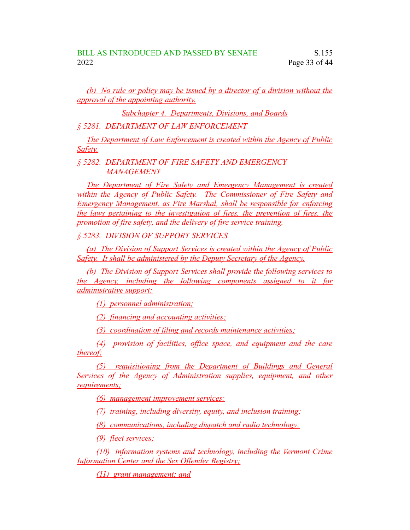*(b) No rule or policy may be issued by a director of a division without the approval of the appointing authority.*

*Subchapter 4. Departments, Divisions, and Boards*

*§ 5281. DEPARTMENT OF LAW ENFORCEMENT*

*The Department of Law Enforcement is created within the Agency of Public Safety.*

*§ 5282. DEPARTMENT OF FIRE SAFETY AND EMERGENCY MANAGEMENT*

*The Department of Fire Safety and Emergency Management is created within the Agency of Public Safety. The Commissioner of Fire Safety and Emergency Management, as Fire Marshal, shall be responsible for enforcing the laws pertaining to the investigation of fires, the prevention of fires, the promotion of fire safety, and the delivery of fire service training.*

*§ 5283. DIVISION OF SUPPORT SERVICES*

*(a) The Division of Support Services is created within the Agency of Public Safety. It shall be administered by the Deputy Secretary of the Agency.*

*(b) The Division of Support Services shall provide the following services to the Agency, including the following components assigned to it for administrative support:*

*(1) personnel administration;*

*(2) financing and accounting activities;*

*(3) coordination of filing and records maintenance activities;*

*(4) provision of facilities, office space, and equipment and the care thereof;*

*(5) requisitioning from the Department of Buildings and General Services of the Agency of Administration supplies, equipment, and other requirements;*

*(6) management improvement services;*

*(7) training, including diversity, equity, and inclusion training;*

*(8) communications, including dispatch and radio technology;*

*(9) fleet services;*

*(10) information systems and technology, including the Vermont Crime Information Center and the Sex Offender Registry;*

*(11) grant management; and*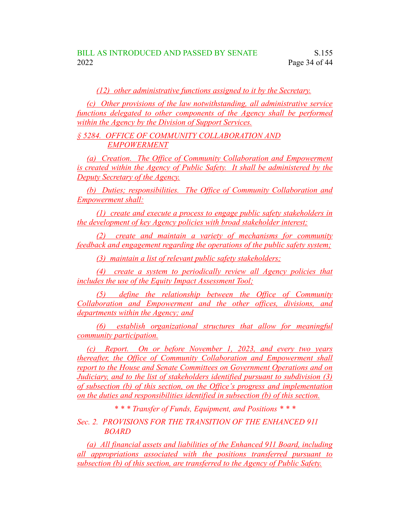*(12) other administrative functions assigned to it by the Secretary.*

*(c) Other provisions of the law notwithstanding, all administrative service functions delegated to other components of the Agency shall be performed within the Agency by the Division of Support Services.*

*§ 5284. OFFICE OF COMMUNITY COLLABORATION AND EMPOWERMENT*

*(a) Creation. The Office of Community Collaboration and Empowerment is created within the Agency of Public Safety. It shall be administered by the Deputy Secretary of the Agency.*

*(b) Duties; responsibilities. The Office of Community Collaboration and Empowerment shall:*

*(1) create and execute a process to engage public safety stakeholders in the development of key Agency policies with broad stakeholder interest;*

*(2) create and maintain a variety of mechanisms for community feedback and engagement regarding the operations of the public safety system;*

*(3) maintain a list of relevant public safety stakeholders;*

*(4) create a system to periodically review all Agency policies that includes the use of the Equity Impact Assessment Tool;*

*(5) define the relationship between the Office of Community Collaboration and Empowerment and the other offices, divisions, and departments within the Agency; and*

*(6) establish organizational structures that allow for meaningful community participation.*

*(c) Report. On or before November 1, 2023, and every two years thereafter, the Office of Community Collaboration and Empowerment shall report to the House and Senate Committees on Government Operations and on Judiciary, and to the list of stakeholders identified pursuant to subdivision (3) of subsection (b) of this section, on the Office's progress and implementation on the duties and responsibilities identified in subsection (b) of this section.*

*\* \* \* Transfer of Funds, Equipment, and Positions \* \* \**

*Sec. 2. PROVISIONS FOR THE TRANSITION OF THE ENHANCED 911 BOARD*

*(a) All financial assets and liabilities of the Enhanced 911 Board, including all appropriations associated with the positions transferred pursuant to subsection (b) of this section, are transferred to the Agency of Public Safety.*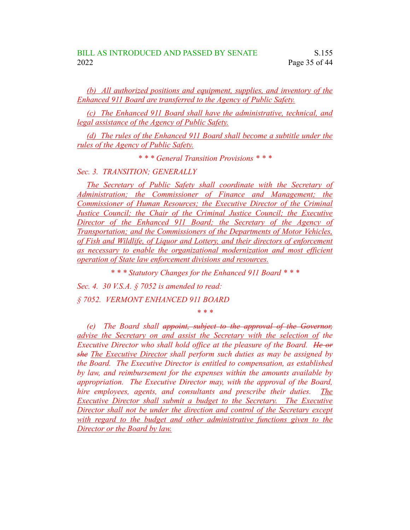*(b) All authorized positions and equipment, supplies, and inventory of the Enhanced 911 Board are transferred to the Agency of Public Safety.*

*(c) The Enhanced 911 Board shall have the administrative, technical, and legal assistance of the Agency of Public Safety.*

*(d) The rules of the Enhanced 911 Board shall become a subtitle under the rules of the Agency of Public Safety.*

*\* \* \* General Transition Provisions \* \* \**

*Sec. 3. TRANSITION; GENERALLY*

*The Secretary of Public Safety shall coordinate with the Secretary of Administration; the Commissioner of Finance and Management; the Commissioner of Human Resources; the Executive Director of the Criminal Justice Council; the Chair of the Criminal Justice Council; the Executive Director of the Enhanced 911 Board; the Secretary of the Agency of Transportation; and the Commissioners of the Departments of Motor Vehicles, of Fish and Wildlife, of Liquor and Lottery, and their directors of enforcement as necessary to enable the organizational modernization and most efficient operation of State law enforcement divisions and resources.*

*\* \* \* Statutory Changes for the Enhanced 911 Board \* \* \**

*\* \* \**

*Sec. 4. 30 V.S.A. § 7052 is amended to read:*

*§ 7052. VERMONT ENHANCED 911 BOARD*

*(e) The Board shall appoint, subject to the approval of the Governor, advise the Secretary on and assist the Secretary with the selection of the Executive Director who shall hold office at the pleasure of the Board. He or she The Executive Director shall perform such duties as may be assigned by the Board. The Executive Director is entitled to compensation, as established by law, and reimbursement for the expenses within the amounts available by appropriation. The Executive Director may, with the approval of the Board, hire employees, agents, and consultants and prescribe their duties. The Executive Director shall submit a budget to the Secretary. The Executive Director shall not be under the direction and control of the Secretary except with regard to the budget and other administrative functions given to the Director or the Board by law.*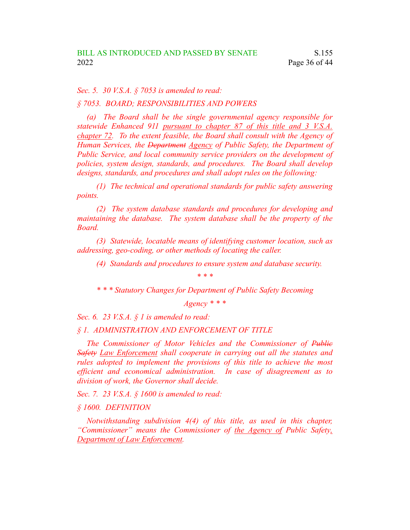*Sec. 5. 30 V.S.A. § 7053 is amended to read:*

*§ 7053. BOARD; RESPONSIBILITIES AND POWERS*

*(a) The Board shall be the single governmental agency responsible for statewide Enhanced 911 pursuant to chapter 87 of this title and 3 V.S.A. chapter 72. To the extent feasible, the Board shall consult with the Agency of Human Services, the Department Agency of Public Safety, the Department of Public Service, and local community service providers on the development of policies, system design, standards, and procedures. The Board shall develop designs, standards, and procedures and shall adopt rules on the following:*

*(1) The technical and operational standards for public safety answering points.*

*(2) The system database standards and procedures for developing and maintaining the database. The system database shall be the property of the Board.*

*(3) Statewide, locatable means of identifying customer location, such as addressing, geo-coding, or other methods of locating the caller.*

*(4) Standards and procedures to ensure system and database security.*

*\* \* \**

*\* \* \* Statutory Changes for Department of Public Safety Becoming*

*Agency \* \* \**

*Sec. 6. 23 V.S.A. § 1 is amended to read:*

#### *§ 1. ADMINISTRATION AND ENFORCEMENT OF TITLE*

*The Commissioner of Motor Vehicles and the Commissioner of Public Safety Law Enforcement shall cooperate in carrying out all the statutes and rules adopted to implement the provisions of this title to achieve the most efficient and economical administration. In case of disagreement as to division of work, the Governor shall decide.*

*Sec. 7. 23 V.S.A. § 1600 is amended to read:*

*§ 1600. DEFINITION*

*Notwithstanding subdivision 4(4) of this title, as used in this chapter, "Commissioner" means the Commissioner of the Agency of Public Safety, Department of Law Enforcement.*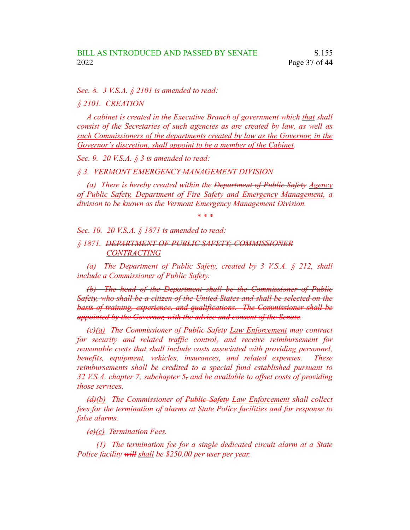*Sec. 8. 3 V.S.A. § 2101 is amended to read:*

*§ 2101. CREATION*

*A cabinet is created in the Executive Branch of government which that shall consist of the Secretaries of such agencies as are created by law, as well as such Commissioners of the departments created by law as the Governor, in the Governor's discretion, shall appoint to be a member of the Cabinet.*

*Sec. 9. 20 V.S.A. § 3 is amended to read:*

*§ 3. VERMONT EMERGENCY MANAGEMENT DIVISION*

*(a) There is hereby created within the Department of Public Safety Agency of Public Safety, Department of Fire Safety and Emergency Management, a division to be known as the Vermont Emergency Management Division.*

*\* \* \**

*Sec. 10. 20 V.S.A. § 1871 is amended to read:*

*§ 1871. DEPARTMENT OF PUBLIC SAFETY; COMMISSIONER CONTRACTING*

*(a) The Department of Public Safety, created by 3 V.S.A. § 212, shall include a Commissioner of Public Safety.*

*(b) The head of the Department shall be the Commissioner of Public Safety, who shall be a citizen of the United States and shall be selected on the basis of training, experience, and qualifications. The Commissioner shall be appointed by the Governor, with the advice and consent of the Senate.*

*(c)(a) The Commissioner of Public Safety Law Enforcement may contract for security and related traffic control, and receive reimbursement for reasonable costs that shall include costs associated with providing personnel, benefits, equipment, vehicles, insurances, and related expenses. These reimbursements shall be credited to a special fund established pursuant to 32 V.S.A. chapter 7, subchapter 5, and be available to offset costs of providing those services.*

*(d)(b) The Commissioner of Public Safety Law Enforcement shall collect fees for the termination of alarms at State Police facilities and for response to false alarms.*

*(e)(c) Termination Fees.*

*(1) The termination fee for a single dedicated circuit alarm at a State Police facility will shall be \$250.00 per user per year.*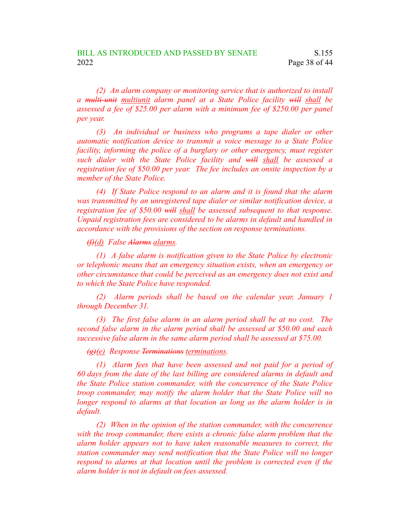*(2) An alarm company or monitoring service that is authorized to install a multi-unit multiunit alarm panel at a State Police facility will shall be assessed a fee of \$25.00 per alarm with a minimum fee of \$250.00 per panel per year.*

*(3) An individual or business who programs a tape dialer or other automatic notification device to transmit a voice message to a State Police facility, informing the police of a burglary or other emergency, must register such dialer with the State Police facility and will shall be assessed a registration fee of \$50.00 per year. The fee includes an onsite inspection by a member of the State Police.*

*(4) If State Police respond to an alarm and it is found that the alarm was transmitted by an unregistered tape dialer or similar notification device, a registration fee of \$50.00 will shall be assessed subsequent to that response. Unpaid registration fees are considered to be alarms in default and handled in accordance with the provisions of the section on response terminations.*

*(f)(d) False Alarms alarms.*

*(1) A false alarm is notification given to the State Police by electronic or telephonic means that an emergency situation exists, when an emergency or other circumstance that could be perceived as an emergency does not exist and to which the State Police have responded.*

*(2) Alarm periods shall be based on the calendar year, January 1 through December 31.*

*(3) The first false alarm in an alarm period shall be at no cost. The second false alarm in the alarm period shall be assessed at \$50.00 and each successive false alarm in the same alarm period shall be assessed at \$75.00.*

*(g)(e) Response Terminations terminations.*

*(1) Alarm fees that have been assessed and not paid for a period of 60 days from the date of the last billing are considered alarms in default and the State Police station commander, with the concurrence of the State Police troop commander, may notify the alarm holder that the State Police will no longer respond to alarms at that location as long as the alarm holder is in default.*

*(2) When in the opinion of the station commander, with the concurrence with the troop commander, there exists a chronic false alarm problem that the alarm holder appears not to have taken reasonable measures to correct, the station commander may send notification that the State Police will no longer respond to alarms at that location until the problem is corrected even if the alarm holder is not in default on fees assessed.*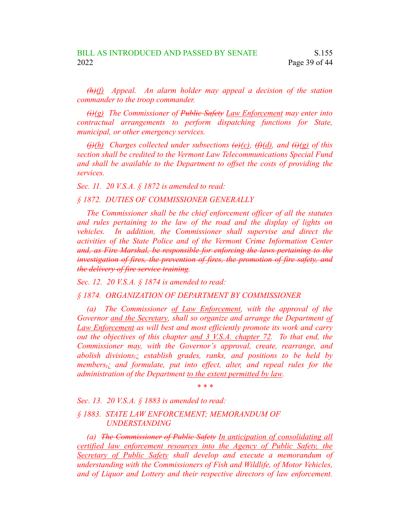*(h)(f) Appeal. An alarm holder may appeal a decision of the station commander to the troop commander.*

*(i)(g) The Commissioner of Public Safety Law Enforcement may enter into contractual arrangements to perform dispatching functions for State, municipal, or other emergency services.*

 $\frac{\partial f}{\partial h}$  *Charges collected under subsections*  $\frac{\partial f}{\partial h}$  *(d)*, *and*  $\frac{\partial f}{\partial h}$  *of this section shall be credited to the Vermont Law Telecommunications Special Fund and shall be available to the Department to offset the costs of providing the services.*

*Sec. 11. 20 V.S.A. § 1872 is amended to read:*

*§ 1872. DUTIES OF COMMISSIONER GENERALLY*

*The Commissioner shall be the chief enforcement officer of all the statutes and rules pertaining to the law of the road and the display of lights on vehicles. In addition, the Commissioner shall supervise and direct the activities of the State Police and of the Vermont Crime Information Center and, as Fire Marshal, be responsible for enforcing the laws pertaining to the investigation of fires, the prevention of fires, the promotion of fire safety, and the delivery of fire service training.*

*Sec. 12. 20 V.S.A. § 1874 is amended to read:*

*§ 1874. ORGANIZATION OF DEPARTMENT BY COMMISSIONER*

*(a) The Commissioner of Law Enforcement, with the approval of the Governor and the Secretary, shall so organize and arrange the Department of Law Enforcement as will best and most efficiently promote its work and carry out the objectives of this chapter and 3 V.S.A. chapter 72. To that end, the Commissioner may, with the Governor's approval, create, rearrange, and abolish divisions,; establish grades, ranks, and positions to be held by members,; and formulate, put into effect, alter, and repeal rules for the administration of the Department to the extent permitted by law.*

*\* \* \**

*Sec. 13. 20 V.S.A. § 1883 is amended to read:*

*§ 1883. STATE LAW ENFORCEMENT; MEMORANDUM OF UNDERSTANDING*

*(a) The Commissioner of Public Safety In anticipation of consolidating all certified law enforcement resources into the Agency of Public Safety, the Secretary of Public Safety shall develop and execute a memorandum of understanding with the Commissioners of Fish and Wildlife, of Motor Vehicles, and of Liquor and Lottery and their respective directors of law enforcement.*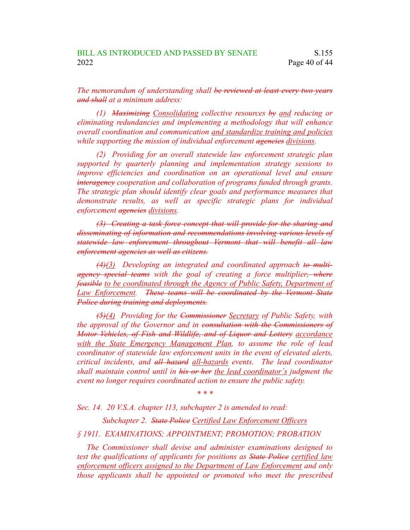*The memorandum of understanding shall be reviewed at least every two years and shall at a minimum address:*

*(1) Maximizing Consolidating collective resources by and reducing or eliminating redundancies and implementing a methodology that will enhance overall coordination and communication and standardize training and policies while supporting the mission of individual enforcement agencies divisions.*

*(2) Providing for an overall statewide law enforcement strategic plan supported by quarterly planning and implementation strategy sessions to improve efficiencies and coordination on an operational level and ensure interagency cooperation and collaboration of programs funded through grants. The strategic plan should identify clear goals and performance measures that demonstrate results, as well as specific strategic plans for individual enforcement agencies divisions.*

*(3) Creating a task force concept that will provide for the sharing and disseminating of information and recommendations involving various levels of statewide law enforcement throughout Vermont that will benefit all law enforcement agencies as well as citizens.*

*(4)(3) Developing an integrated and coordinated approach to multiagency special teams with the goal of creating a force multiplier, where feasible to be coordinated through the Agency of Public Safety, Department of Law Enforcement. These teams will be coordinated by the Vermont State Police during training and deployments.*

*(5)(4) Providing for the Commissioner Secretary of Public Safety, with the approval of the Governor and in consultation with the Commissioners of Motor Vehicles, of Fish and Wildlife, and of Liquor and Lottery accordance with the State Emergency Management Plan, to assume the role of lead coordinator of statewide law enforcement units in the event of elevated alerts, critical incidents, and all hazard all-hazards events. The lead coordinator shall maintain control until in his or her the lead coordinator's judgment the event no longer requires coordinated action to ensure the public safety.*

*\* \* \**

*Sec. 14. 20 V.S.A. chapter 113, subchapter 2 is amended to read:*

*Subchapter 2. State Police Certified Law Enforcement Officers*

*§ 1911. EXAMINATIONS; APPOINTMENT; PROMOTION; PROBATION*

*The Commissioner shall devise and administer examinations designed to test the qualifications of applicants for positions as State Police certified law enforcement officers assigned to the Department of Law Enforcement and only those applicants shall be appointed or promoted who meet the prescribed*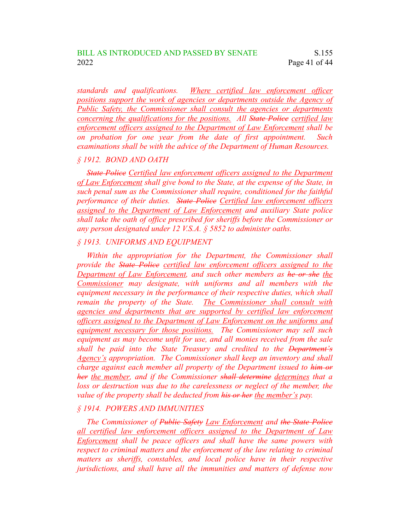*standards and qualifications. Where certified law enforcement officer positions support the work of agencies or departments outside the Agency of Public Safety, the Commissioner shall consult the agencies or departments concerning the qualifications for the positions. All State Police certified law enforcement officers assigned to the Department of Law Enforcement shall be on probation for one year from the date of first appointment. Such examinations shall be with the advice of the Department of Human Resources.*

#### *§ 1912. BOND AND OATH*

*State Police Certified law enforcement officers assigned to the Department of Law Enforcement shall give bond to the State, at the expense of the State, in such penal sum as the Commissioner shall require, conditioned for the faithful performance of their duties. State Police Certified law enforcement officers assigned to the Department of Law Enforcement and auxiliary State police shall take the oath of office prescribed for sheriffs before the Commissioner or any person designated under 12 V.S.A. § 5852 to administer oaths.*

### *§ 1913. UNIFORMS AND EQUIPMENT*

*Within the appropriation for the Department, the Commissioner shall provide the State Police certified law enforcement officers assigned to the Department of Law Enforcement, and such other members as he or she the Commissioner may designate, with uniforms and all members with the equipment necessary in the performance of their respective duties, which shall remain the property of the State. The Commissioner shall consult with agencies and departments that are supported by certified law enforcement officers assigned to the Department of Law Enforcement on the uniforms and equipment necessary for those positions. The Commissioner may sell such equipment as may become unfit for use, and all monies received from the sale shall be paid into the State Treasury and credited to the Department's Agency's appropriation. The Commissioner shall keep an inventory and shall charge against each member all property of the Department issued to him or her the member, and if the Commissioner shall determine determines that a loss or destruction was due to the carelessness or neglect of the member, the value of the property shall be deducted from his or her the member's pay.*

## *§ 1914. POWERS AND IMMUNITIES*

*The Commissioner of Public Safety Law Enforcement and the State Police all certified law enforcement officers assigned to the Department of Law Enforcement shall be peace officers and shall have the same powers with respect to criminal matters and the enforcement of the law relating to criminal matters as sheriffs, constables, and local police have in their respective jurisdictions, and shall have all the immunities and matters of defense now*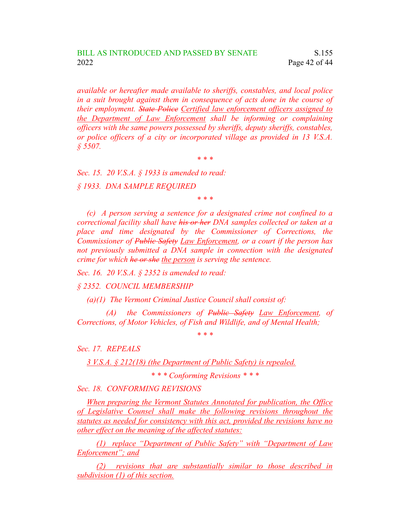*available or hereafter made available to sheriffs, constables, and local police in a suit brought against them in consequence of acts done in the course of their employment. State Police Certified law enforcement officers assigned to the Department of Law Enforcement shall be informing or complaining officers with the same powers possessed by sheriffs, deputy sheriffs, constables, or police officers of a city or incorporated village as provided in 13 V.S.A. § 5507.*

*\* \* \**

*Sec. 15. 20 V.S.A. § 1933 is amended to read: § 1933. DNA SAMPLE REQUIRED*

*\* \* \**

*(c) A person serving a sentence for a designated crime not confined to a correctional facility shall have his or her DNA samples collected or taken at a place and time designated by the Commissioner of Corrections, the Commissioner of Public Safety Law Enforcement, or a court if the person has not previously submitted a DNA sample in connection with the designated crime for which he or she the person is serving the sentence.*

*Sec. 16. 20 V.S.A. § 2352 is amended to read:*

*§ 2352. COUNCIL MEMBERSHIP*

*(a)(1) The Vermont Criminal Justice Council shall consist of:*

*(A) the Commissioners of Public Safety Law Enforcement, of Corrections, of Motor Vehicles, of Fish and Wildlife, and of Mental Health;*

*\* \* \**

*Sec. 17. REPEALS*

*3 V.S.A. § 212(18) (the Department of Public Safety) is repealed.*

*\* \* \* Conforming Revisions \* \* \**

*Sec. 18. CONFORMING REVISIONS*

*When preparing the Vermont Statutes Annotated for publication, the Office of Legislative Counsel shall make the following revisions throughout the statutes as needed for consistency with this act, provided the revisions have no other effect on the meaning of the affected statutes:*

*(1) replace "Department of Public Safety" with "Department of Law Enforcement"; and*

*(2) revisions that are substantially similar to those described in subdivision (1) of this section.*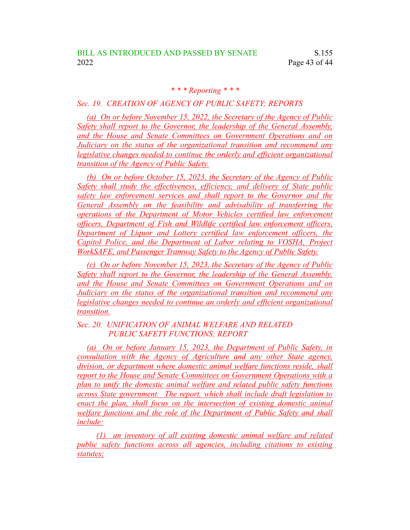## *\* \* \* Reporting \* \* \**

### *Sec. 19. CREATION OF AGENCY OF PUBLIC SAFETY; REPORTS*

*(a) On or before November 15, 2022, the Secretary of the Agency of Public Safety shall report to the Governor, the leadership of the General Assembly, and the House and Senate Committees on Government Operations and on Judiciary on the status of the organizational transition and recommend any legislative changes needed to continue the orderly and efficient organizational transition of the Agency of Public Safety.*

*(b) On or before October 15, 2023, the Secretary of the Agency of Public Safety shall study the effectiveness, efficiency, and delivery of State public safety law enforcement services and shall report to the Governor and the General Assembly on the feasibility and advisability of transferring the operations of the Department of Motor Vehicles certified law enforcement officers, Department of Fish and Wildlife certified law enforcement officers, Department of Liquor and Lottery certified law enforcement officers, the Capitol Police, and the Department of Labor relating to VOSHA, Project WorkSAFE, and Passenger Tramway Safety to the Agency of Public Safety.*

*(c) On or before November 15, 2023, the Secretary of the Agency of Public Safety shall report to the Governor, the leadership of the General Assembly, and the House and Senate Committees on Government Operations and on Judiciary on the status of the organizational transition and recommend any legislative changes needed to continue an orderly and efficient organizational transition.*

*Sec. 20. UNIFICATION OF ANIMAL WELFARE AND RELATED PUBLIC SAFETY FUNCTIONS; REPORT*

*(a) On or before January 15, 2023, the Department of Public Safety, in consultation with the Agency of Agriculture and any other State agency, division, or department where domestic animal welfare functions reside, shall report to the House and Senate Committees on Government Operations with a plan to unify the domestic animal welfare and related public safety functions across State government. The report, which shall include draft legislation to enact the plan, shall focus on the intersection of existing domestic animal welfare functions and the role of the Department of Public Safety and shall include:*

*(1) an inventory of all existing domestic animal welfare and related public safety functions across all agencies, including citations to existing statutes;*